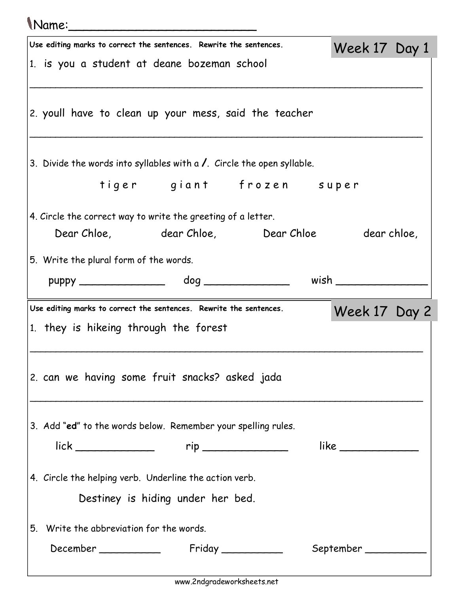## Name:\_\_\_\_\_\_\_\_\_\_\_\_\_\_\_\_\_\_\_\_\_\_\_\_\_

| $\mathbf{u}$                                                                   |               |  |
|--------------------------------------------------------------------------------|---------------|--|
| Use editing marks to correct the sentences. Rewrite the sentences.             | Week 17 Day 1 |  |
| 1. is you a student at deane bozeman school                                    |               |  |
|                                                                                |               |  |
| 2. youll have to clean up your mess, said the teacher                          |               |  |
| 3. Divide the words into syllables with a $\prime$ . Circle the open syllable. |               |  |
| tiger giant frozen super                                                       |               |  |
| 4. Circle the correct way to write the greeting of a letter.                   |               |  |
| Dear Chloe, dear Chloe, Dear Chloe dear chloe,                                 |               |  |
| 5. Write the plural form of the words.                                         |               |  |
|                                                                                |               |  |
| Use editing marks to correct the sentences. Rewrite the sentences.             | Week 17 Day 2 |  |
| 1. they is hikeing through the forest                                          |               |  |
|                                                                                |               |  |
| 2. can we having some fruit snacks? asked jada                                 |               |  |
| 3. Add "ed" to the words below. Remember your spelling rules.                  |               |  |
| $lick$ $rip$ $\qquad \qquad$                                                   | like          |  |
| 4. Circle the helping verb. Underline the action verb.                         |               |  |
| Destiney is hiding under her bed.                                              |               |  |
| Write the abbreviation for the words.<br>5.                                    |               |  |
|                                                                                |               |  |
|                                                                                |               |  |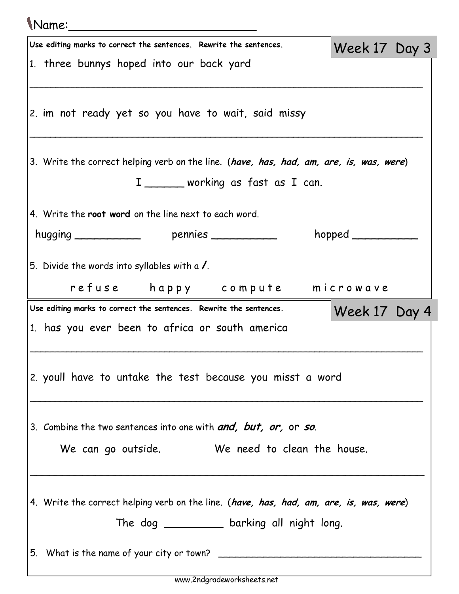| Name:                                                                                                                          |                  |  |
|--------------------------------------------------------------------------------------------------------------------------------|------------------|--|
| Use editing marks to correct the sentences. Rewrite the sentences.                                                             | Week 17 Day 3    |  |
| 1. three bunnys hoped into our back yard                                                                                       |                  |  |
| 2. im not ready yet so you have to wait, said missy                                                                            |                  |  |
| 3. Write the correct helping verb on the line. (have, has, had, am, are, is, was, were)<br>I _______ working as fast as I can. |                  |  |
| 4. Write the root word on the line next to each word.                                                                          |                  |  |
|                                                                                                                                | $h$ opped $\_\_$ |  |
| 5. Divide the words into syllables with a $\lambda$ .                                                                          |                  |  |
| refuse happy compute microwave                                                                                                 |                  |  |
| Use editing marks to correct the sentences. Rewrite the sentences.                                                             | Week 17 Day 4    |  |
| 1. has you ever been to africa or south america                                                                                |                  |  |
| 2. youll have to untake the test because you misst a word                                                                      |                  |  |
| 3. Combine the two sentences into one with <b>and, but, or, or so.</b>                                                         |                  |  |
| We can go outside. We need to clean the house.                                                                                 |                  |  |
| 4. Write the correct helping verb on the line. (have, has, had, am, are, is, was, were)                                        |                  |  |
| The dog _________ barking all night long.                                                                                      |                  |  |
| 5. What is the name of your city or town?                                                                                      |                  |  |